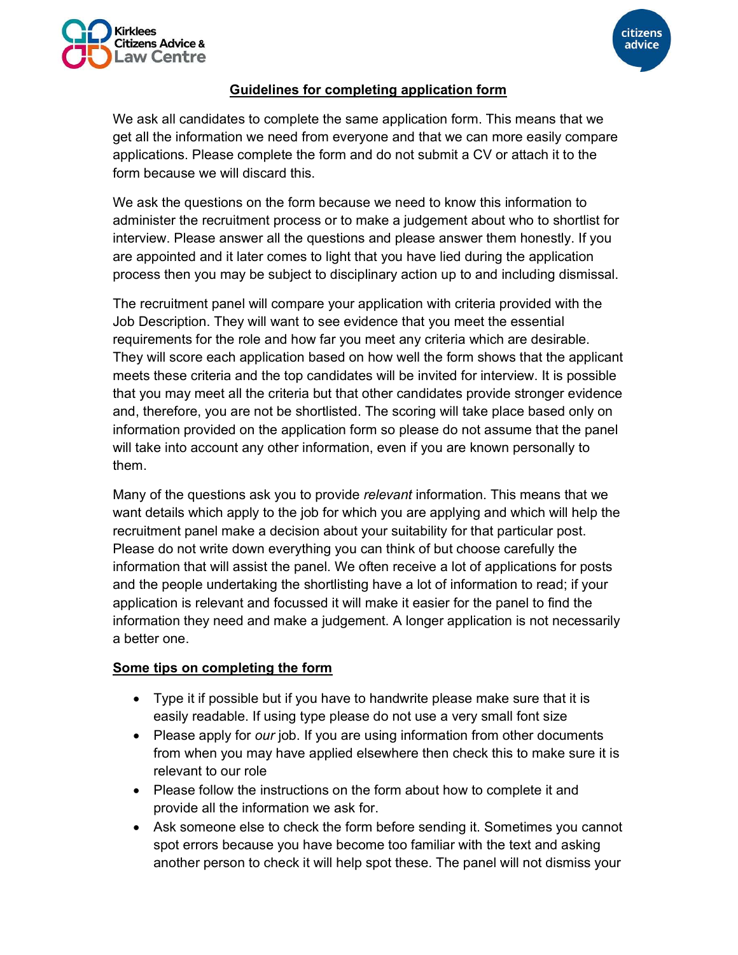



citizens

advice

We ask all candidates to complete the same application form. This means that we get all the information we need from everyone and that we can more easily compare applications. Please complete the form and do not submit a CV or attach it to the form because we will discard this.

We ask the questions on the form because we need to know this information to administer the recruitment process or to make a judgement about who to shortlist for interview. Please answer all the questions and please answer them honestly. If you are appointed and it later comes to light that you have lied during the application process then you may be subject to disciplinary action up to and including dismissal.

The recruitment panel will compare your application with criteria provided with the Job Description. They will want to see evidence that you meet the essential requirements for the role and how far you meet any criteria which are desirable. They will score each application based on how well the form shows that the applicant meets these criteria and the top candidates will be invited for interview. It is possible that you may meet all the criteria but that other candidates provide stronger evidence and, therefore, you are not be shortlisted. The scoring will take place based only on information provided on the application form so please do not assume that the panel will take into account any other information, even if you are known personally to them.

Many of the questions ask you to provide relevant information. This means that we want details which apply to the job for which you are applying and which will help the recruitment panel make a decision about your suitability for that particular post. Please do not write down everything you can think of but choose carefully the information that will assist the panel. We often receive a lot of applications for posts and the people undertaking the shortlisting have a lot of information to read; if your application is relevant and focussed it will make it easier for the panel to find the information they need and make a judgement. A longer application is not necessarily a better one.

## Some tips on completing the form

- Type it if possible but if you have to handwrite please make sure that it is easily readable. If using type please do not use a very small font size
- Please apply for *our* job. If you are using information from other documents from when you may have applied elsewhere then check this to make sure it is relevant to our role
- Please follow the instructions on the form about how to complete it and provide all the information we ask for.
- Ask someone else to check the form before sending it. Sometimes you cannot spot errors because you have become too familiar with the text and asking another person to check it will help spot these. The panel will not dismiss your